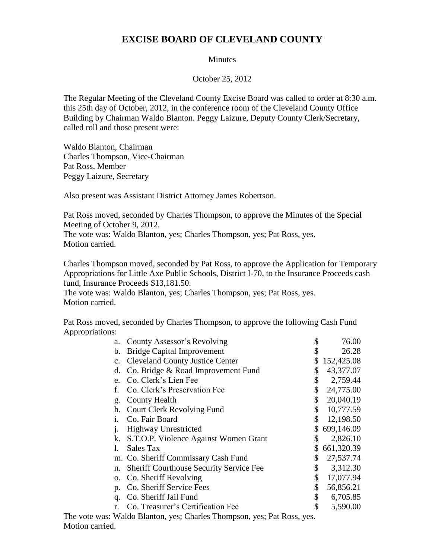## **EXCISE BOARD OF CLEVELAND COUNTY**

## **Minutes**

October 25, 2012

The Regular Meeting of the Cleveland County Excise Board was called to order at 8:30 a.m. this 25th day of October, 2012, in the conference room of the Cleveland County Office Building by Chairman Waldo Blanton. Peggy Laizure, Deputy County Clerk/Secretary, called roll and those present were:

Waldo Blanton, Chairman Charles Thompson, Vice-Chairman Pat Ross, Member Peggy Laizure, Secretary

Also present was Assistant District Attorney James Robertson.

Pat Ross moved, seconded by Charles Thompson, to approve the Minutes of the Special Meeting of October 9, 2012.

The vote was: Waldo Blanton, yes; Charles Thompson, yes; Pat Ross, yes. Motion carried.

Charles Thompson moved, seconded by Pat Ross, to approve the Application for Temporary Appropriations for Little Axe Public Schools, District I-70, to the Insurance Proceeds cash fund, Insurance Proceeds \$13,181.50.

The vote was: Waldo Blanton, yes; Charles Thompson, yes; Pat Ross, yes. Motion carried.

Pat Ross moved, seconded by Charles Thompson, to approve the following Cash Fund Appropriations:

| a.                                                                      | County Assessor's Revolving                    | \$            | 76.00      |
|-------------------------------------------------------------------------|------------------------------------------------|---------------|------------|
| b.                                                                      | <b>Bridge Capital Improvement</b>              |               | 26.28      |
| $C_{\bullet}$                                                           | <b>Cleveland County Justice Center</b>         | \$            | 152,425.08 |
| d.                                                                      | Co. Bridge & Road Improvement Fund             | \$            | 43,377.07  |
| e.                                                                      | Co. Clerk's Lien Fee                           | \$            | 2,759.44   |
|                                                                         | Co. Clerk's Preservation Fee                   | \$            | 24,775.00  |
| g.                                                                      | County Health                                  | \$            | 20,040.19  |
| h.                                                                      | <b>Court Clerk Revolving Fund</b>              | \$            | 10,777.59  |
| $\mathbf{1}$ .                                                          | Co. Fair Board                                 | \$            | 12,198.50  |
|                                                                         | <b>Highway Unrestricted</b>                    | \$            | 699,146.09 |
| k.                                                                      | S.T.O.P. Violence Against Women Grant          | \$            | 2,826.10   |
|                                                                         | Sales Tax                                      | S.            | 661,320.39 |
|                                                                         | m. Co. Sheriff Commissary Cash Fund            | \$            | 27,537.74  |
| n.                                                                      | <b>Sheriff Courthouse Security Service Fee</b> | \$            | 3,312.30   |
|                                                                         | o. Co. Sheriff Revolving                       | \$            | 17,077.94  |
| p.                                                                      | Co. Sheriff Service Fees                       | \$            | 56,856.21  |
| q.                                                                      | Co. Sheriff Jail Fund                          | \$            | 6,705.85   |
|                                                                         | Co. Treasurer's Certification Fee              | $\mathcal{S}$ | 5,590.00   |
| The vote was: Waldo Blanton, yes; Charles Thompson, yes; Pat Ross, yes. |                                                |               |            |

Motion carried.